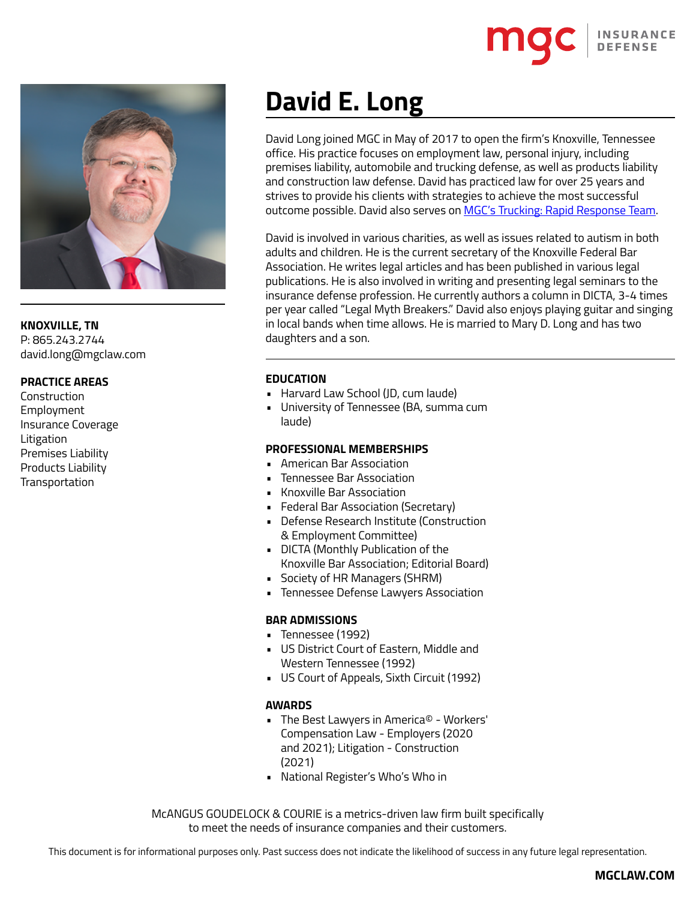

**KNOXVILLE, TN** P: 865.243.2744 david.long@mgclaw.com

## **PRACTICE AREAS**

**Construction** Employment Insurance Coverage Litigation Premises Liability Products Liability **Transportation** 

# **David E. Long**

David Long joined MGC in May of 2017 to open the firm's Knoxville, Tennessee office. His practice focuses on employment law, personal injury, including premises liability, automobile and trucking defense, as well as products liability and construction law defense. David has practiced law for over 25 years and strives to provide his clients with strategies to achieve the most successful outcome possible. David also serves on [MGC's Trucking: Rapid Response Team.](https://mgclaw.com/trucking/)

David is involved in various charities, as well as issues related to autism in both adults and children. He is the current secretary of the Knoxville Federal Bar Association. He writes legal articles and has been published in various legal publications. He is also involved in writing and presenting legal seminars to the insurance defense profession. He currently authors a column in DICTA, 3-4 times per year called "Legal Myth Breakers." David also enjoys playing guitar and singing in local bands when time allows. He is married to Mary D. Long and has two daughters and a son.

### **EDUCATION**

- Harvard Law School (JD, cum laude)
- University of Tennessee (BA, summa cum laude)

#### **PROFESSIONAL MEMBERSHIPS**

- American Bar Association
- Tennessee Bar Association
- Knoxville Bar Association
- Federal Bar Association (Secretary)
- Defense Research Institute (Construction & Employment Committee)
- DICTA (Monthly Publication of the Knoxville Bar Association; Editorial Board)
- Society of HR Managers (SHRM)
- Tennessee Defense Lawyers Association

#### **BAR ADMISSIONS**

- Tennessee (1992)
- US District Court of Eastern, Middle and Western Tennessee (1992)
- US Court of Appeals, Sixth Circuit (1992)

#### **AWARDS**

- The Best Lawyers in America© Workers' Compensation Law - Employers (2020 and 2021); Litigation - Construction (2021)
- National Register's Who's Who in

McANGUS GOUDELOCK & COURIE is a metrics-driven law firm built specifically to meet the needs of insurance companies and their customers.

This document is for informational purposes only. Past success does not indicate the likelihood of success in any future legal representation.